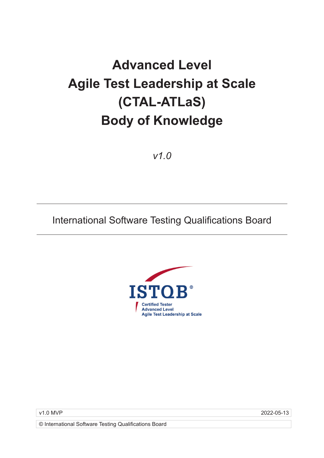# **Advanced Level Agile Test Leadership at Scale (CTAL-ATLaS) Body of Knowledge**

*v1.0*

## International Software Testing Qualifications Board



v1.0 MVP 2022-05-13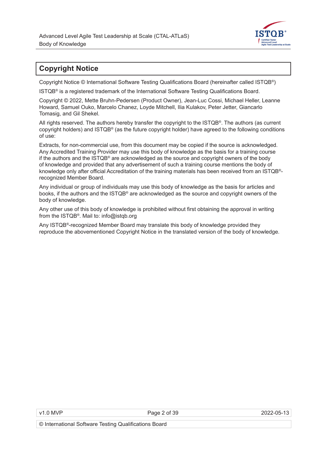

### **Copyright Notice**

Copyright Notice © International Software Testing Qualifications Board (hereinafter called ISTQB®)

ISTQB® is a registered trademark of the International Software Testing Qualifications Board.

Copyright © 2022, Mette Bruhn-Pedersen (Product Owner), Jean-Luc Cossi, Michael Heller, Leanne Howard, Samuel Ouko, Marcelo Chanez, Loyde Mitchell, Ilia Kulakov, Peter Jetter, Giancarlo Tomasig, and Gil Shekel.

All rights reserved. The authors hereby transfer the copyright to the ISTQB®. The authors (as current copyright holders) and ISTQB® (as the future copyright holder) have agreed to the following conditions of use:

Extracts, for non-commercial use, from this document may be copied if the source is acknowledged. Any Accredited Training Provider may use this body of knowledge as the basis for a training course if the authors and the ISTQB® are acknowledged as the source and copyright owners of the body of knowledge and provided that any advertisement of such a training course mentions the body of knowledge only after official Accreditation of the training materials has been received from an ISTQB® recognized Member Board.

Any individual or group of individuals may use this body of knowledge as the basis for articles and books, if the authors and the ISTQB® are acknowledged as the source and copyright owners of the body of knowledge.

Any other use of this body of knowledge is prohibited without first obtaining the approval in writing from the ISTQB®. Mail to: info@istqb.org

Any ISTQB®-recognized Member Board may translate this body of knowledge provided they reproduce the abovementioned Copyright Notice in the translated version of the body of knowledge.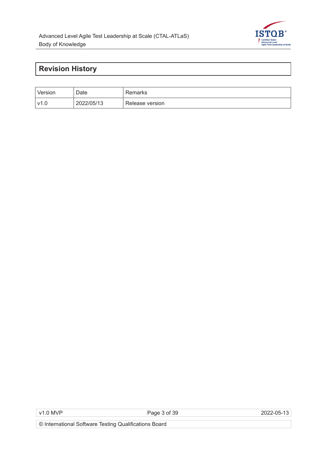

### **Revision History**

| Version | Date       | Remarks         |
|---------|------------|-----------------|
| v1.0    | 2022/05/13 | Release version |

v1.0 MVP Page 3 of 39 2022-05-13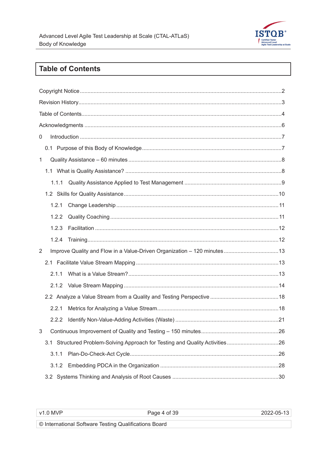

### **Table of Contents**

| $\mathbf 0$                                                                  |  |  |  |  |  |
|------------------------------------------------------------------------------|--|--|--|--|--|
|                                                                              |  |  |  |  |  |
| $\mathbf 1$                                                                  |  |  |  |  |  |
|                                                                              |  |  |  |  |  |
| 1.1.1                                                                        |  |  |  |  |  |
|                                                                              |  |  |  |  |  |
| 1.2.1                                                                        |  |  |  |  |  |
| 1.2.2                                                                        |  |  |  |  |  |
| 1.2.3                                                                        |  |  |  |  |  |
| 1.2.4                                                                        |  |  |  |  |  |
| 2                                                                            |  |  |  |  |  |
|                                                                              |  |  |  |  |  |
| 2.1.1                                                                        |  |  |  |  |  |
|                                                                              |  |  |  |  |  |
|                                                                              |  |  |  |  |  |
| 2.2.1                                                                        |  |  |  |  |  |
| 2.2.2                                                                        |  |  |  |  |  |
|                                                                              |  |  |  |  |  |
| 3.1 Structured Problem-Solving Approach for Testing and Quality Activities26 |  |  |  |  |  |
| 3.1.1                                                                        |  |  |  |  |  |
| 3.1.2                                                                        |  |  |  |  |  |
|                                                                              |  |  |  |  |  |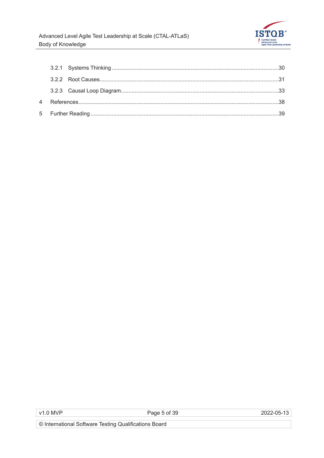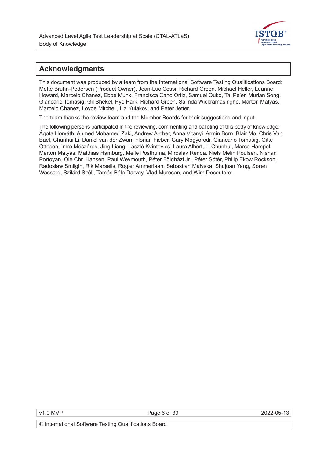

#### **Acknowledgments**

This document was produced by a team from the International Software Testing Qualifications Board: Mette Bruhn-Pedersen (Product Owner), Jean-Luc Cossi, Richard Green, Michael Heller, Leanne Howard, Marcelo Chanez, Ebbe Munk, Francisca Cano Ortiz, Samuel Ouko, Tal Pe'er, Murian Song, Giancarlo Tomasig, Gil Shekel, Pyo Park, Richard Green, Salinda Wickramasinghe, Marton Matyas, Marcelo Chanez, Loyde Mitchell, Ilia Kulakov, and Peter Jetter.

The team thanks the review team and the Member Boards for their suggestions and input.

The following persons participated in the reviewing, commenting and balloting of this body of knowledge: Ágota Horváth, Ahmed Mohamed Zaki, Andrew Archer, Anna Vitányi, Armin Born, Blair Mo, Chris Van Bael, Chunhui Li, Daniel van der Zwan, Florian Fieber, Gary Mogyorodi, Giancarlo Tomasig, Gitte Ottosen, Imre Mészáros, Jing Liang, László Kvintovics, Laura Albert, Li Chunhui, Marco Hampel, Marton Matyas, Matthias Hamburg, Meile Posthuma, Miroslav Renda, Niels Melin Poulsen, Nishan Portoyan, Ole Chr. Hansen, Paul Weymouth, Péter Földházi Jr., Péter Sótér, Philip Ekow Rockson, Radoslaw Smilgin, Rik Marselis, Rogier Ammerlaan, Sebastian Małyska, Shujuan Yang, Søren Wassard, Szilárd Széll, Tamás Béla Darvay, Vlad Muresan, and Wim Decoutere.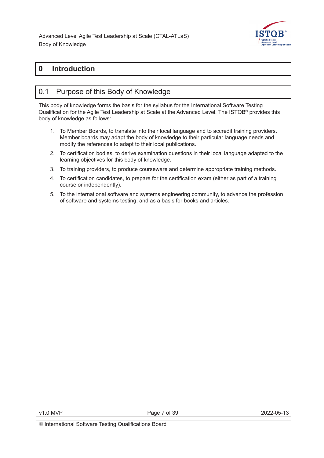

### **0 Introduction**

### 0.1 Purpose of this Body of Knowledge

This body of knowledge forms the basis for the syllabus for the International Software Testing Qualification for the Agile Test Leadership at Scale at the Advanced Level. The ISTQB® provides this body of knowledge as follows:

- 1. To Member Boards, to translate into their local language and to accredit training providers. Member boards may adapt the body of knowledge to their particular language needs and modify the references to adapt to their local publications.
- 2. To certification bodies, to derive examination questions in their local language adapted to the learning objectives for this body of knowledge.
- 3. To training providers, to produce courseware and determine appropriate training methods.
- 4. To certification candidates, to prepare for the certification exam (either as part of a training course or independently).
- 5. To the international software and systems engineering community, to advance the profession of software and systems testing, and as a basis for books and articles.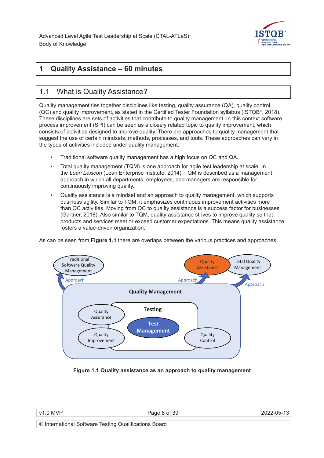

### **1 Quality Assistance – 60 minutes**

### 1.1 What is Quality Assistance?

Quality management ties together disciplines like testing, quality assurance (QA), quality control (QC) and quality improvement, as stated in the Certified Tester Foundation syllabus (ISTQB®, 2018). These disciplines are sets of activities that contribute to quality management. In this context software process improvement (SPI) can be seen as a closely related topic to quality improvement, which consists of activities designed to improve quality. There are approaches to quality management that suggest the use of certain mindsets, methods, processes, and tools. These approaches can vary in the types of activities included under quality management:

- Traditional software quality management has a high focus on QC and QA.
- Total quality management (TQM) is one approach for agile test leadership at scale. In the *Lean Lexicon* (Lean Enterprise Institute, 2014), TQM is described as a management approach in which all departments, employees, and managers are responsible for continuously improving quality.
- Quality assistance is a mindset and an approach to quality management, which supports business agility. Similar to TQM, it emphasizes continuous improvement activities more than QC activities. Moving from QC to quality assistance is a success factor for businesses (Gartner, 2018). Also similar to TQM, quality assistance strives to improve quality so that products and services meet or exceed customer expectations. This means quality assistance fosters a value-driven organization.

As can be seen from **Figure 1.1** there are overlaps between the various practices and approaches.



**Figure 1.1 Quality assistance as an approach to quality management**

|  | v1.0 MVP |
|--|----------|
|--|----------|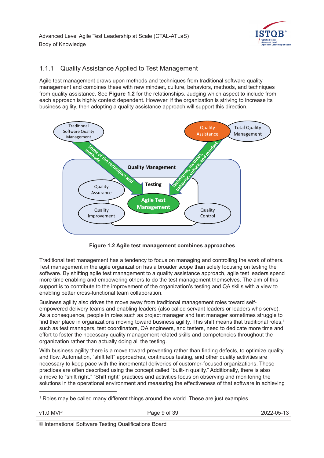

#### 1.1.1 Quality Assistance Applied to Test Management

Agile test management draws upon methods and techniques from traditional software quality management and combines these with new mindset, culture, behaviors, methods, and techniques from quality assistance. See **Figure 1.2** for the relationships. Judging which aspect to include from each approach is highly context dependent. However, if the organization is striving to increase its business agility, then adopting a quality assistance approach will support this direction.



**Figure 1.2 Agile test management combines approaches**

Traditional test management has a tendency to focus on managing and controlling the work of others. Test management in the agile organization has a broader scope than solely focusing on testing the software. By shifting agile test management to a quality assistance approach, agile test leaders spend more time enabling and empowering others to do the test management themselves. The aim of this support is to contribute to the improvement of the organization's testing and QA skills with a view to enabling better cross-functional team collaboration.

Business agility also drives the move away from traditional management roles toward selfempowered delivery teams and enabling leaders (also called servant leaders or leaders who serve). As a consequence, people in roles such as project manager and test manager sometimes struggle to find their place in organizations moving toward business agility. This shift means that traditional roles,<sup>1</sup> such as test managers, test coordinators, QA engineers, and testers, need to dedicate more time and effort to foster the necessary quality management related skills and competencies throughout the organization rather than actually doing all the testing.

With business agility there is a move toward preventing rather than finding defects, to optimize quality and flow. Automation, "shift left" approaches, continuous testing, and other quality activities are necessary to keep pace with the incremental deliveries of customer-focused organizations. These practices are often described using the concept called "built-in quality." Additionally, there is also a move to "shift right." "Shift right" practices and activities focus on observing and monitoring the solutions in the operational environment and measuring the effectiveness of that software in achieving

 $^{\rm 1}$  Roles may be called many different things around the world. These are just examples.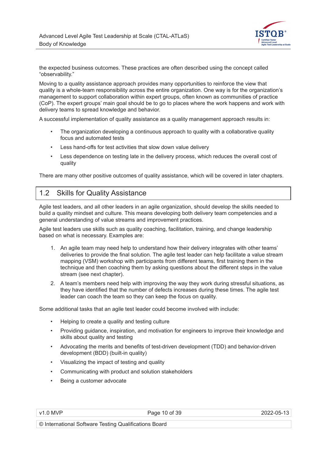

the expected business outcomes. These practices are often described using the concept called "observability."

Moving to a quality assistance approach provides many opportunities to reinforce the view that quality is a whole-team responsibility across the entire organization. One way is for the organization's management to support collaboration within expert groups, often known as communities of practice (CoP). The expert groups' main goal should be to go to places where the work happens and work with delivery teams to spread knowledge and behavior.

A successful implementation of quality assistance as a quality management approach results in:

- The organization developing a continuous approach to quality with a collaborative quality focus and automated tests
- Less hand-offs for test activities that slow down value delivery
- Less dependence on testing late in the delivery process, which reduces the overall cost of quality

There are many other positive outcomes of quality assistance, which will be covered in later chapters.

### 1.2 Skills for Quality Assistance

Agile test leaders, and all other leaders in an agile organization, should develop the skills needed to build a quality mindset and culture. This means developing both delivery team competencies and a general understanding of value streams and improvement practices.

Agile test leaders use skills such as quality coaching, facilitation, training, and change leadership based on what is necessary. Examples are:

- 1. An agile team may need help to understand how their delivery integrates with other teams' deliveries to provide the final solution. The agile test leader can help facilitate a value stream mapping (VSM) workshop with participants from different teams, first training them in the technique and then coaching them by asking questions about the different steps in the value stream (see next chapter).
- 2. A team's members need help with improving the way they work during stressful situations, as they have identified that the number of defects increases during these times. The agile test leader can coach the team so they can keep the focus on quality.

Some additional tasks that an agile test leader could become involved with include:

- Helping to create a quality and testing culture
- Providing guidance, inspiration, and motivation for engineers to improve their knowledge and skills about quality and testing
- Advocating the merits and benefits of test-driven development (TDD) and behavior-driven development (BDD) (built-in quality)
- Visualizing the impact of testing and quality
- Communicating with product and solution stakeholders
- Being a customer advocate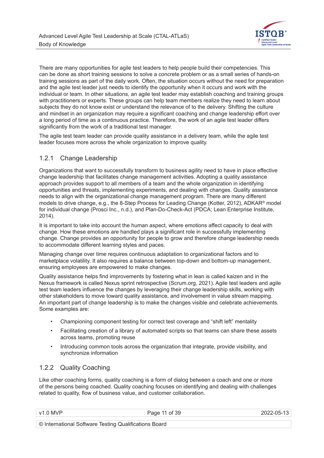

There are many opportunities for agile test leaders to help people build their competencies. This can be done as short training sessions to solve a concrete problem or as a small series of hands-on training sessions as part of the daily work. Often, the situation occurs without the need for preparation and the agile test leader just needs to identify the opportunity when it occurs and work with the individual or team. In other situations, an agile test leader may establish coaching and training groups with practitioners or experts. These groups can help team members realize they need to learn about subjects they do not know exist or understand the relevance of to the delivery. Shifting the culture and mindset in an organization may require a significant coaching and change leadership effort over a long period of time as a continuous practice. Therefore, the work of an agile test leader differs significantly from the work of a traditional test manager.

The agile test team leader can provide quality assistance in a delivery team, while the agile test leader focuses more across the whole organization to improve quality.

#### 1.2.1 Change Leadership

Organizations that want to successfully transform to business agility need to have in place effective change leadership that facilitates change management activities. Adopting a quality assistance approach provides support to all members of a team and the whole organization in identifying opportunities and threats, implementing experiments, and dealing with changes. Quality assistance needs to align with the organizational change management program. There are many different models to drive change, e.g., the 8-Step Process for Leading Change (Kotter, 2012), ADKAR® model for individual change (Prosci Inc., n.d.), and Plan-Do-Check-Act (PDCA; Lean Enterprise Institute, 2014).

It is important to take into account the human aspect, where emotions affect capacity to deal with change. How these emotions are handled plays a significant role in successfully implementing change. Change provides an opportunity for people to grow and therefore change leadership needs to accommodate different learning styles and paces.

Managing change over time requires continuous adaptation to organizational factors and to marketplace volatility. It also requires a balance between top-down and bottom-up management, ensuring employees are empowered to make changes.

Quality assistance helps find improvements by fostering what in lean is called kaizen and in the Nexus framework is called Nexus sprint retrospective (Scrum.org, 2021). Agile test leaders and agile test team leaders influence the changes by leveraging their change leadership skills, working with other stakeholders to move toward quality assistance, and involvement in value stream mapping. An important part of change leadership is to make the changes visible and celebrate achievements. Some examples are:

- Championing component testing for correct test coverage and "shift left" mentality
- Facilitating creation of a library of automated scripts so that teams can share these assets across teams, promoting reuse
- Introducing common tools across the organization that integrate, provide visibility, and synchronize information

#### 1.2.2 Quality Coaching

Like other coaching forms, quality coaching is a form of dialog between a coach and one or more of the persons being coached. Quality coaching focuses on identifying and dealing with challenges related to quality, flow of business value, and customer collaboration.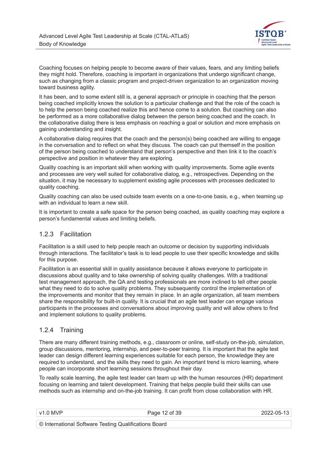

Coaching focuses on helping people to become aware of their values, fears, and any limiting beliefs they might hold. Therefore, coaching is important in organizations that undergo significant change, such as changing from a classic program and project-driven organization to an organization moving toward business agility.

It has been, and to some extent still is, a general approach or principle in coaching that the person being coached implicitly knows the solution to a particular challenge and that the role of the coach is to help the person being coached realize this and hence come to a solution. But coaching can also be performed as a more collaborative dialog between the person being coached and the coach. In the collaborative dialog there is less emphasis on reaching a goal or solution and more emphasis on gaining understanding and insight.

A collaborative dialog requires that the coach and the person(s) being coached are willing to engage in the conversation and to reflect on what they discuss. The coach can put themself in the position of the person being coached to understand that person's perspective and then link it to the coach's perspective and position in whatever they are exploring.

Quality coaching is an important skill when working with quality improvements. Some agile events and processes are very well suited for collaborative dialog, e.g., retrospectives. Depending on the situation, it may be necessary to supplement existing agile processes with processes dedicated to quality coaching.

Quality coaching can also be used outside team events on a one-to-one basis, e.g., when teaming up with an individual to learn a new skill.

It is important to create a safe space for the person being coached, as quality coaching may explore a person's fundamental values and limiting beliefs.

#### 1.2.3 Facilitation

Facilitation is a skill used to help people reach an outcome or decision by supporting individuals through interactions. The facilitator's task is to lead people to use their specific knowledge and skills for this purpose.

Facilitation is an essential skill in quality assistance because it allows everyone to participate in discussions about quality and to take ownership of solving quality challenges. With a traditional test management approach, the QA and testing professionals are more inclined to tell other people what they need to do to solve quality problems. They subsequently control the implementation of the improvements and monitor that they remain in place. In an agile organization, all team members share the responsibility for built-in quality. It is crucial that an agile test leader can engage various participants in the processes and conversations about improving quality and will allow others to find and implement solutions to quality problems.

#### 1.2.4 Training

There are many different training methods, e.g., classroom or online, self-study on-the-job, simulation, group discussions, mentoring, internship, and peer-to-peer training. It is important that the agile test leader can design different learning experiences suitable for each person, the knowledge they are required to understand, and the skills they need to gain. An important trend is micro learning, where people can incorporate short learning sessions throughout their day.

To really scale learning, the agile test leader can team up with the human resources (HR) department focusing on learning and talent development. Training that helps people build their skills can use methods such as internship and on-the-job training. It can profit from close collaboration with HR.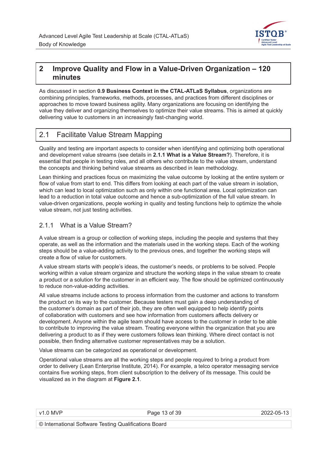

### **2 Improve Quality and Flow in a Value-Driven Organization – 120 minutes**

As discussed in section **0.9 Business Context in the CTAL-ATLaS Syllabus**, organizations are combining principles, frameworks, methods, processes, and practices from different disciplines or approaches to move toward business agility. Many organizations are focusing on identifying the value they deliver and organizing themselves to optimize their value streams. This is aimed at quickly delivering value to customers in an increasingly fast-changing world.

### 2.1 Facilitate Value Stream Mapping

Quality and testing are important aspects to consider when identifying and optimizing both operational and development value streams (see details in **2.1.1 What is a Value Stream?**). Therefore, it is essential that people in testing roles, and all others who contribute to the value stream, understand the concepts and thinking behind value streams as described in lean methodology.

Lean thinking and practices focus on maximizing the value outcome by looking at the entire system or flow of value from start to end. This differs from looking at each part of the value stream in isolation, which can lead to local optimization such as only within one functional area. Local optimization can lead to a reduction in total value outcome and hence a sub-optimization of the full value stream. In value-driven organizations, people working in quality and testing functions help to optimize the whole value stream, not just testing activities.

#### 2.1.1 What is a Value Stream?

A value stream is a group or collection of working steps, including the people and systems that they operate, as well as the information and the materials used in the working steps. Each of the working steps should be a value-adding activity to the previous ones, and together the working steps will create a flow of value for customers.

A value stream starts with people's ideas, the customer's needs, or problems to be solved. People working within a value stream organize and structure the working steps in the value stream to create a product or a solution for the customer in an efficient way. The flow should be optimized continuously to reduce non-value-adding activities.

All value streams include actions to process information from the customer and actions to transform the product on its way to the customer. Because testers must gain a deep understanding of the customer's domain as part of their job, they are often well equipped to help identify points of collaboration with customers and see how information from customers affects delivery or development. Anyone within the agile team should have access to the customer in order to be able to contribute to improving the value stream. Treating everyone within the organization that you are delivering a product to as if they were customers follows lean thinking. Where direct contact is not possible, then finding alternative customer representatives may be a solution.

Value streams can be categorized as operational or development.

Operational value streams are all the working steps and people required to bring a product from order to delivery (Lean Enterprise Institute, 2014). For example, a telco operator messaging service contains five working steps, from client subscription to the delivery of its message. This could be visualized as in the diagram at **Figure 2.1**.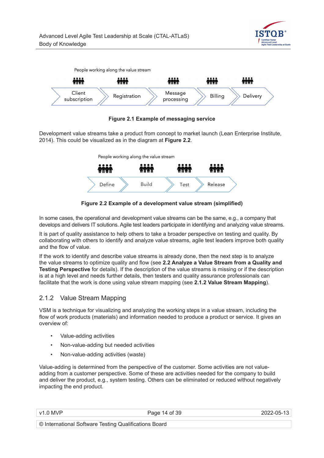





Development value streams take a product from concept to market launch (Lean Enterprise Institute, 2014). This could be visualized as in the diagram at **Figure 2.2**.



**Figure 2.2 Example of a development value stream (simplified)**

In some cases, the operational and development value streams can be the same, e.g., a company that develops and delivers IT solutions. Agile test leaders participate in identifying and analyzing value streams.

It is part of quality assistance to help others to take a broader perspective on testing and quality. By collaborating with others to identify and analyze value streams, agile test leaders improve both quality and the flow of value.

If the work to identify and describe value streams is already done, then the next step is to analyze the value streams to optimize quality and flow (see **2.2 Analyze a Value Stream from a Quality and Testing Perspective** for details). If the description of the value streams is missing or if the description is at a high level and needs further details, then testers and quality assurance professionals can facilitate that the work is done using value stream mapping (see **2.1.2 Value Stream Mapping**).

#### 2.1.2 Value Stream Mapping

VSM is a technique for visualizing and analyzing the working steps in a value stream, including the flow of work products (materials) and information needed to produce a product or service. It gives an overview of:

- Value-adding activities
- Non-value-adding but needed activities
- Non-value-adding activities (waste)

Value-adding is determined from the perspective of the customer. Some activities are not valueadding from a customer perspective. Some of these are activities needed for the company to build and deliver the product, e.g., system testing. Others can be eliminated or reduced without negatively impacting the end product.

v1.0 MVP 2022-05-13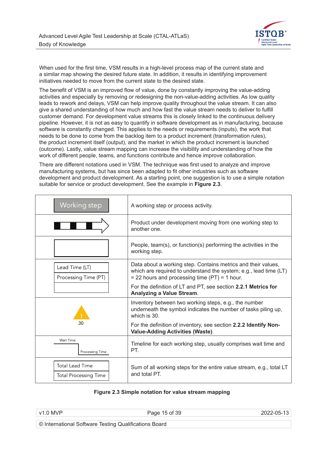

When used for the first time, VSM results in a high-level process map of the current state and a similar map showing the desired future state. In addition, it results in identifying improvement initiatives needed to move from the current state to the desired state.

The benefit of VSM is an improved flow of value, done by constantly improving the value-adding activities and especially by removing or redesigning the non-value-adding activities. As low quality leads to rework and delays, VSM can help improve quality throughout the value stream. It can also give a shared understanding of how much and how fast the value stream needs to deliver to fulfill customer demand. For development value streams this is closely linked to the continuous delivery pipeline. However, it is not as easy to quantify in software development as in manufacturing, because software is constantly changed. This applies to the needs or requirements (inputs), the work that needs to be done to come from the backlog item to a product increment (transformation rules), the product increment itself (output), and the market in which the product increment is launched (outcome). Lastly, value stream mapping can increase the visibility and understanding of how the work of different people, teams, and functions contribute and hence improve collaboration.

There are different notations used in VSM. The technique was first used to analyze and improve manufacturing systems, but has since been adapted to fit other industries such as software development and product development. As a starting point, one suggestion is to use a simple notation suitable for service or product development. See the example in **Figure 2.3**.

| Working step                                           | A working step or process activity.                                                                                                                                                   |  |  |
|--------------------------------------------------------|---------------------------------------------------------------------------------------------------------------------------------------------------------------------------------------|--|--|
|                                                        | Product under development moving from one working step to<br>another one.                                                                                                             |  |  |
|                                                        | People, team(s), or function(s) performing the activities in the<br>working step.                                                                                                     |  |  |
| Lead Time (LT)<br>Processing Time (PT)                 | Data about a working step. Contains metrics and their values,<br>which are required to understand the system; e.g., lead time (LT)<br>$= 22$ hours and processing time (PT) = 1 hour. |  |  |
|                                                        | For the definition of LT and PT, see section 2.2.1 Metrics for<br><b>Analyzing a Value Stream.</b>                                                                                    |  |  |
|                                                        | Inventory between two working steps, e.g., the number<br>underneath the symbol indicates the number of tasks piling up,<br>which is 30.                                               |  |  |
|                                                        | For the definition of inventory, see section 2.2.2 Identify Non-<br><b>Value-Adding Activities (Waste).</b>                                                                           |  |  |
| Wait Time<br>Processing Time                           | Timeline for each working step, usually comprises wait time and<br>PT.                                                                                                                |  |  |
| <b>Total Lead Time</b><br><b>Total Processing Time</b> | Sum of all working steps for the entire value stream, e.g., total LT<br>and total PT.                                                                                                 |  |  |

#### **Figure 2.3 Simple notation for value stream mapping**

| $V1$ $\cap$ $MVP$ |   |  |  |  |  | Page 15 of 39 | 2022 OF 12 |
|-------------------|---|--|--|--|--|---------------|------------|
| $\sim$            | . |  |  |  |  |               |            |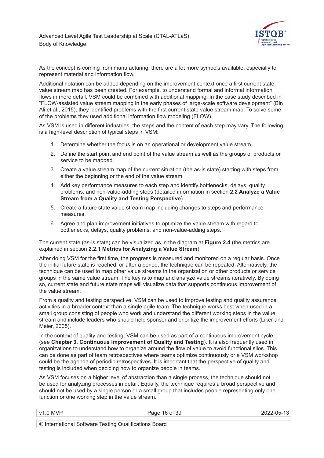

As the concept is coming from manufacturing, there are a lot more symbols available, especially to represent material and information flow.

Additional notation can be added depending on the improvement context once a first current state value stream map has been created. For example, to understand formal and informal information flows in more detail, VSM could be combined with additional mapping. In the case study described in "FLOW-assisted value stream mapping in the early phases of large-scale software development" (Bin Ali et al., 2015), they identified problems with the first current state value stream map. To solve some of the problems they used additional information flow modeling (FLOW).

As VSM is used in different industries, the steps and the content of each step may vary. The following is a high-level description of typical steps in VSM:

- 1. Determine whether the focus is on an operational or development value stream.
- 2. Define the start point and end point of the value stream as well as the groups of products or service to be mapped.
- 3. Create a value stream map of the current situation (the as-is state) starting with steps from either the beginning or the end of the value stream.
- 4. Add key performance measures to each step and identify bottlenecks, delays, quality problems, and non-value-adding steps (detailed information in section **2.2 Analyze a Value Stream from a Quality and Testing Perspective**).
- 5. Create a future state value stream map including changes to steps and performance measures.
- 6. Agree and plan improvement initiatives to optimize the value stream with regard to bottlenecks, delays, quality problems, and non-value-adding steps.

The current state (as-is state) can be visualized as in the diagram at **Figure 2.4** (the metrics are explained in section **2.2.1 Metrics for Analyzing a Value Stream**).

After doing VSM for the first time, the progress is measured and monitored on a regular basis. Once the initial future state is reached, or after a period, the technique can be repeated. Alternatively, the technique can be used to map other value streams in the organization or other products or service groups in the same value stream. The key is to map and analyze value streams iteratively. By doing so, current state and future state maps will visualize data that supports continuous improvement of the value stream.

From a quality and testing perspective, VSM can be used to improve testing and quality assurance activities in a broader context than a single agile team. The technique works best when used in a small group consisting of people who work and understand the different working steps in the value stream and include leaders who should help sponsor and prioritize the improvement efforts (Liker and Meier, 2005).

In the context of quality and testing, VSM can be used as part of a continuous improvement cycle (see **Chapter 3, Continuous Improvement of Quality and Testing**). It is also frequently used in organizations to understand how to organize around the flow of value to avoid functional silos. This can be done as part of team retrospectives where teams optimize continuously or a VSM workshop could be the agenda of periodic retrospectives. It is important that the perspective of quality and testing is included when deciding how to organize people in teams.

As VSM focuses on a higher level of abstraction than a single process, the technique should not be used for analyzing processes in detail. Equally, the technique requires a broad perspective and should not be used by a single person or a small group that includes people representing only one function or one working step in the value stream.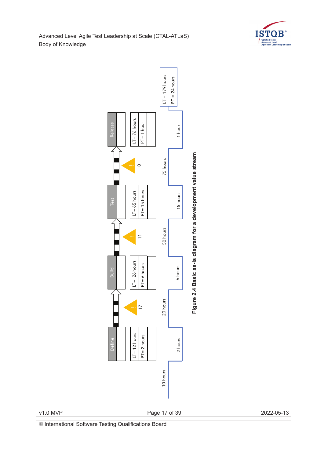



Figure 2.4 Basic as-is diagram for a development value stream **Figure 2.4 Basic as-is diagram for a development value stream**

v1.0 MVP Page 17 of 39 2022-05-13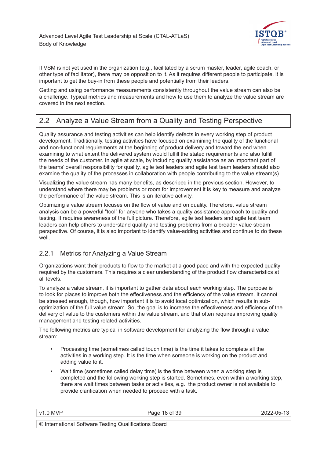

If VSM is not yet used in the organization (e.g., facilitated by a scrum master, leader, agile coach, or other type of facilitator), there may be opposition to it. As it requires different people to participate, it is important to get the buy-in from these people and potentially from their leaders.

Getting and using performance measurements consistently throughout the value stream can also be a challenge. Typical metrics and measurements and how to use them to analyze the value stream are covered in the next section.

### 2.2 Analyze a Value Stream from a Quality and Testing Perspective

Quality assurance and testing activities can help identify defects in every working step of product development. Traditionally, testing activities have focused on examining the quality of the functional and non-functional requirements at the beginning of product delivery and toward the end when examining to what extent the delivered system would fulfill the stated requirements and also fulfill the needs of the customer. In agile at scale, by including quality assistance as an important part of the teams' overall responsibility for quality, agile test leaders and agile test team leaders should also examine the quality of the processes in collaboration with people contributing to the value stream(s).

Visualizing the value stream has many benefits, as described in the previous section. However, to understand where there may be problems or room for improvement it is key to measure and analyze the performance of the value stream. This is an iterative activity.

Optimizing a value stream focuses on the flow of value and on quality. Therefore, value stream analysis can be a powerful "tool" for anyone who takes a quality assistance approach to quality and testing. It requires awareness of the full picture. Therefore, agile test leaders and agile test team leaders can help others to understand quality and testing problems from a broader value stream perspective. Of course, it is also important to identify value-adding activities and continue to do these well.

#### 2.2.1 Metrics for Analyzing a Value Stream

Organizations want their products to flow to the market at a good pace and with the expected quality required by the customers. This requires a clear understanding of the product flow characteristics at all levels.

To analyze a value stream, it is important to gather data about each working step. The purpose is to look for places to improve both the effectiveness and the efficiency of the value stream. It cannot be stressed enough, though, how important it is to avoid local optimization, which results in suboptimization of the full value stream. So, the goal is to increase the effectiveness and efficiency of the delivery of value to the customers within the value stream, and that often requires improving quality management and testing related activities.

The following metrics are typical in software development for analyzing the flow through a value stream:

- Processing time (sometimes called touch time) is the time it takes to complete all the activities in a working step. It is the time when someone is working on the product and adding value to it.
- Wait time (sometimes called delay time) is the time between when a working step is completed and the following working step is started. Sometimes, even within a working step, there are wait times between tasks or activities, e.g., the product owner is not available to provide clarification when needed to proceed with a task.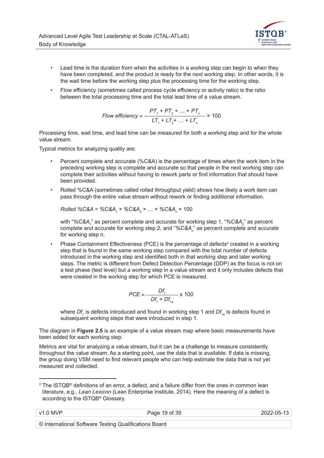

- Lead time is the duration from when the activities in a working step can begin to when they have been completed, and the product is ready for the next working step. In other words, it is the wait time before the working step plus the processing time for the working step.
- Flow efficiency (sometimes called process cycle efficiency or activity ratio) is the ratio between the total processing time and the total lead time of a value stream.

Flow efficiency = 
$$
\frac{PT_1 + PT_2 + ... + PT_n}{LT_1 + LT_2 + ... + LT_n} \times 100
$$

Processing time, wait time, and lead time can be measured for both a working step and for the whole value stream.

Typical metrics for analyzing quality are:

- Percent complete and accurate (%C&A) is the percentage of times when the work item in the preceding working step is complete and accurate so that people in the next working step can complete their activities without having to rework parts or find information that should have been provided.
- Rolled %C&A (sometimes called rolled throughput yield) shows how likely a work item can pass through the entire value stream without rework or finding additional information.

$$
Rolled % C&A = % C&A1 × % C&A2 × ... × % C&An × 100
$$

with "%C&A<sub>1</sub>" as percent complete and accurate for working step 1, "%C&A<sub>2</sub>" as percent complete and accurate for working step 2, and "%C&A<sub>n</sub>" as percent complete and accurate for working step n.

• Phase Containment Effectiveness (PCE) is the percentage of defects<sup>2</sup> created in a working step that is found in the same working step compared with the total number of defects introduced in the working step and identified both in that working step and later working steps. The metric is different from Defect Detection Percentage (DDP) as the focus is not on a test phase (test level) but a working step in a value stream and it only includes defects that were created in the working step for which PCE is measured.

$$
PCE = \frac{Df_1}{Df_1 + Df_{1a}} \times 100
$$

where  $D\!f_{_1}$  is defects introduced and found in working step 1 and  $D\!f_{_{1a}}$  is defects found in subsequent working steps that were introduced in step 1.

The diagram in **Figure 2.5** is an example of a value stream map where basic measurements have been added for each working step.

Metrics are vital for analyzing a value stream, but it can be a challenge to measure consistently throughout the value stream. As a starting point, use the data that is available. If data is missing, the group doing VSM need to find relevant people who can help estimate the data that is not yet measured and collected.

<sup>&</sup>lt;sup>2</sup> The ISTQB® definitions of an error, a defect, and a failure differ from the ones in common lean literature, e.g., *Lean Lexicon* (Lean Enterprise Institute, 2014). Here the meaning of a defect is according to the ISTQB® Glossary.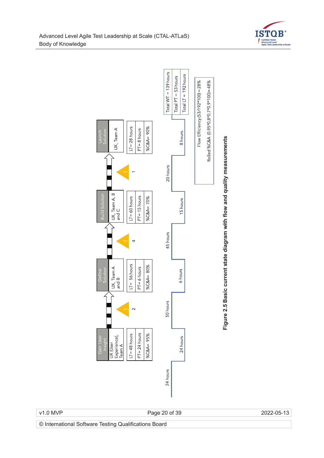



v1.0 MVP Page 20 of 39 2022-05-13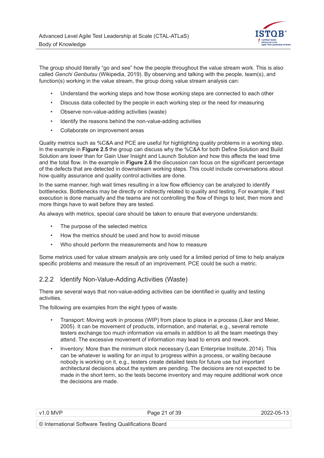

The group should literally "go and see" how the people throughout the value stream work. This is also called *Genchi Genbutsu* (Wikipedia, 2019). By observing and talking with the people, team(s), and function(s) working in the value stream, the group doing value stream analysis can:

- Understand the working steps and how those working steps are connected to each other
- Discuss data collected by the people in each working step or the need for measuring
- Observe non-value-adding activities (waste)
- Identify the reasons behind the non-value-adding activities
- Collaborate on improvement areas

Quality metrics such as %C&A and PCE are useful for highlighting quality problems in a working step. In the example in **Figure 2.5** the group can discuss why the %C&A for both Define Solution and Build Solution are lower than for Gain User Insight and Launch Solution and how this affects the lead time and the total flow. In the example in **Figure 2.6** the discussion can focus on the significant percentage of the defects that are detected in downstream working steps. This could include conversations about how quality assurance and quality control activities are done.

In the same manner, high wait times resulting in a low flow efficiency can be analyzed to identify bottlenecks. Bottlenecks may be directly or indirectly related to quality and testing. For example, if test execution is done manually and the teams are not controlling the flow of things to test, then more and more things have to wait before they are tested.

As always with metrics, special care should be taken to ensure that everyone understands:

- The purpose of the selected metrics
- How the metrics should be used and how to avoid misuse
- Who should perform the measurements and how to measure

Some metrics used for value stream analysis are only used for a limited period of time to help analyze specific problems and measure the result of an improvement. PCE could be such a metric.

#### 2.2.2 Identify Non-Value-Adding Activities (Waste)

There are several ways that non-value-adding activities can be identified in quality and testing activities.

The following are examples from the eight types of waste.

- Transport: Moving work in process (WIP) from place to place in a process (Liker and Meier, 2005). It can be movement of products, information, and material, e.g., several remote testers exchange too much information via emails in addition to all the team meetings they attend. The excessive movement of information may lead to errors and rework.
- Inventory: More than the minimum stock necessary (Lean Enterprise Institute, 2014). This can be whatever is waiting for an input to progress within a process, or waiting because nobody is working on it, e.g., testers create detailed tests for future use but important architectural decisions about the system are pending. The decisions are not expected to be made in the short term, so the tests become inventory and may require additional work once the decisions are made.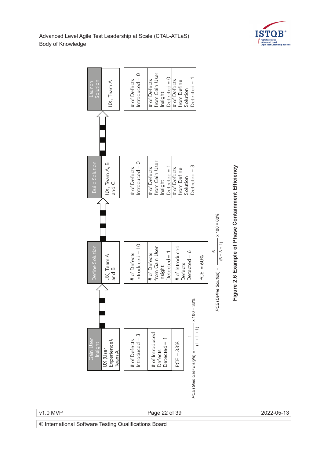



v1.0 MVP Page 22 of 39 2022-05-13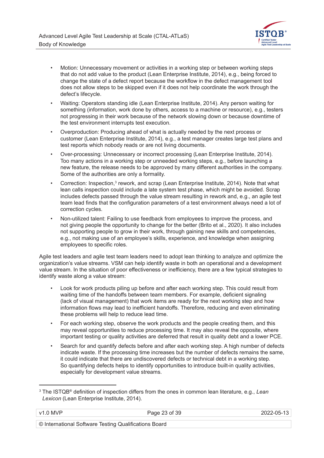

- Motion: Unnecessary movement or activities in a working step or between working steps that do not add value to the product (Lean Enterprise Institute, 2014), e.g., being forced to change the state of a defect report because the workflow in the defect management tool does not allow steps to be skipped even if it does not help coordinate the work through the defect's lifecycle.
- Waiting: Operators standing idle (Lean Enterprise Institute, 2014). Any person waiting for something (information, work done by others, access to a machine or resource), e.g., testers not progressing in their work because of the network slowing down or because downtime of the test environment interrupts test execution.
- Overproduction: Producing ahead of what is actually needed by the next process or customer (Lean Enterprise Institute, 2014), e.g., a test manager creates large test plans and test reports which nobody reads or are not living documents.
- Over-processing: Unnecessary or incorrect processing (Lean Enterprise Institute, 2014). Too many actions in a working step or unneeded working steps, e.g., before launching a new feature, the release needs to be approved by many different authorities in the company. Some of the authorities are only a formality.
- Correction: Inspection, $3$  rework, and scrap (Lean Enterprise Institute, 2014). Note that what lean calls inspection could include a late system test phase, which might be avoided. Scrap includes defects passed through the value stream resulting in rework and, e.g., an agile test team lead finds that the configuration parameters of a test environment always need a lot of correction cycles.
- Non-utilized talent: Failing to use feedback from employees to improve the process, and not giving people the opportunity to change for the better (Brito et al., 2020). It also includes not supporting people to grow in their work, through gaining new skills and competencies, e.g., not making use of an employee's skills, experience, and knowledge when assigning employees to specific roles.

Agile test leaders and agile test team leaders need to adopt lean thinking to analyze and optimize the organization's value streams. VSM can help identify waste in both an operational and a development value stream. In the situation of poor effectiveness or inefficiency, there are a few typical strategies to identify waste along a value stream:

- Look for work products piling up before and after each working step. This could result from waiting time of the handoffs between team members. For example, deficient signaling (lack of visual management) that work items are ready for the next working step and how information flows may lead to inefficient handoffs. Therefore, reducing and even eliminating these problems will help to reduce lead time.
- For each working step, observe the work products and the people creating them, and this may reveal opportunities to reduce processing time. It may also reveal the opposite, where important testing or quality activities are deferred that result in quality debt and a lower PCE.
- Search for and quantify defects before and after each working step. A high number of defects indicate waste. If the processing time increases but the number of defects remains the same, it could indicate that there are undiscovered defects or technical debt in a working step. So quantifying defects helps to identify opportunities to introduce built-in quality activities, especially for development value streams.

<sup>3</sup> The ISTQB® definition of inspection differs from the ones in common lean literature, e.g., *Lean Lexicon* (Lean Enterprise Institute, 2014).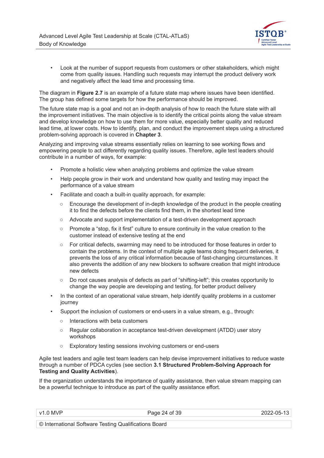

• Look at the number of support requests from customers or other stakeholders, which might come from quality issues. Handling such requests may interrupt the product delivery work and negatively affect the lead time and processing time.

The diagram in **Figure 2.7** is an example of a future state map where issues have been identified. The group has defined some targets for how the performance should be improved.

The future state map is a goal and not an in-depth analysis of how to reach the future state with all the improvement initiatives. The main objective is to identify the critical points along the value stream and develop knowledge on how to use them for more value, especially better quality and reduced lead time, at lower costs. How to identify, plan, and conduct the improvement steps using a structured problem-solving approach is covered in **Chapter 3**.

Analyzing and improving value streams essentially relies on learning to see working flows and empowering people to act differently regarding quality issues. Therefore, agile test leaders should contribute in a number of ways, for example:

- Promote a holistic view when analyzing problems and optimize the value stream
- Help people grow in their work and understand how quality and testing may impact the performance of a value stream
- Facilitate and coach a built-in quality approach, for example:
	- Encourage the development of in-depth knowledge of the product in the people creating it to find the defects before the clients find them, in the shortest lead time
	- Advocate and support implementation of a test-driven development approach
	- Promote a "stop, fix it first" culture to ensure continuity in the value creation to the customer instead of extensive testing at the end
	- For critical defects, swarming may need to be introduced for those features in order to contain the problems. In the context of multiple agile teams doing frequent deliveries, it prevents the loss of any critical information because of fast-changing circumstances. It also prevents the addition of any new blockers to software creation that might introduce new defects
	- Do root causes analysis of defects as part of "shifting-left"; this creates opportunity to change the way people are developing and testing, for better product delivery
- In the context of an operational value stream, help identify quality problems in a customer journey
- Support the inclusion of customers or end-users in a value stream, e.g., through:
	- Interactions with beta customers
	- Regular collaboration in acceptance test-driven development (ATDD) user story workshops
	- Exploratory testing sessions involving customers or end-users

Agile test leaders and agile test team leaders can help devise improvement initiatives to reduce waste through a number of PDCA cycles (see section **3.1 Structured Problem-Solving Approach for Testing and Quality Activities**).

If the organization understands the importance of quality assistance, then value stream mapping can be a powerful technique to introduce as part of the quality assistance effort.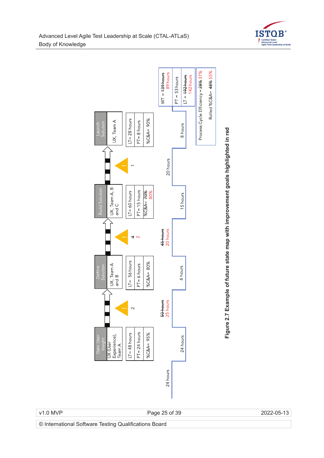



v1.0 MVP Page 25 of 39 2022-05-13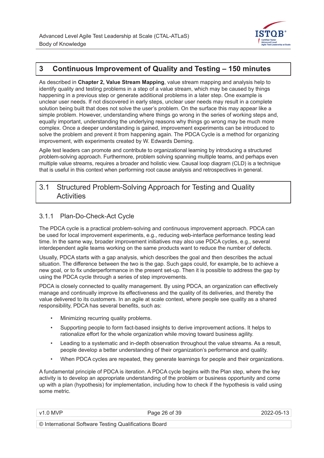

### **3 Continuous Improvement of Quality and Testing – 150 minutes**

As described in **Chapter 2, Value Stream Mapping**, value stream mapping and analysis help to identify quality and testing problems in a step of a value stream, which may be caused by things happening in a previous step or generate additional problems in a later step. One example is unclear user needs. If not discovered in early steps, unclear user needs may result in a complete solution being built that does not solve the user's problem. On the surface this may appear like a simple problem. However, understanding where things go wrong in the series of working steps and, equally important, understanding the underlying reasons why things go wrong may be much more complex. Once a deeper understanding is gained, improvement experiments can be introduced to solve the problem and prevent it from happening again. The PDCA Cycle is a method for organizing improvement, with experiments created by W. Edwards Deming.

Agile test leaders can promote and contribute to organizational learning by introducing a structured problem-solving approach. Furthermore, problem solving spanning multiple teams, and perhaps even multiple value streams, requires a broader and holistic view. Causal loop diagram (CLD) is a technique that is useful in this context when performing root cause analysis and retrospectives in general.

#### 3.1 Structured Problem-Solving Approach for Testing and Quality **Activities**

#### 3.1.1 Plan-Do-Check-Act Cycle

The PDCA cycle is a practical problem-solving and continuous improvement approach. PDCA can be used for local improvement experiments, e.g., reducing web-interface performance testing lead time. In the same way, broader improvement initiatives may also use PDCA cycles, e.g., several interdependent agile teams working on the same products want to reduce the number of defects.

Usually, PDCA starts with a gap analysis, which describes the goal and then describes the actual situation. The difference between the two is the gap. Such gaps could, for example, be to achieve a new goal, or to fix underperformance in the present set-up. Then it is possible to address the gap by using the PDCA cycle through a series of step improvements.

PDCA is closely connected to quality management. By using PDCA, an organization can effectively manage and continually improve its effectiveness and the quality of its deliveries, and thereby the value delivered to its customers. In an agile at scale context, where people see quality as a shared responsibility, PDCA has several benefits, such as:

- Minimizing recurring quality problems.
- Supporting people to form fact-based insights to derive improvement actions. It helps to rationalize effort for the whole organization while moving toward business agility.
- Leading to a systematic and in-depth observation throughout the value streams. As a result, people develop a better understanding of their organization's performance and quality.
- When PDCA cycles are repeated, they generate learnings for people and their organizations.

A fundamental principle of PDCA is iteration. A PDCA cycle begins with the Plan step, where the key activity is to develop an appropriate understanding of the problem or business opportunity and come up with a plan (hypothesis) for implementation, including how to check if the hypothesis is valid using some metric.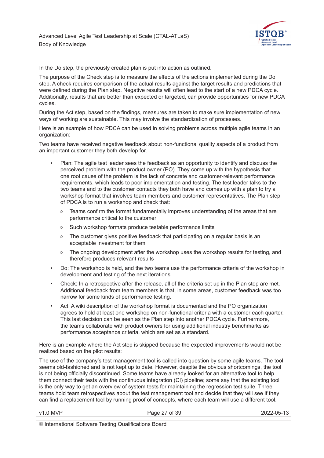

In the Do step, the previously created plan is put into action as outlined.

The purpose of the Check step is to measure the effects of the actions implemented during the Do step. A check requires comparison of the actual results against the target results and predictions that were defined during the Plan step. Negative results will often lead to the start of a new PDCA cycle. Additionally, results that are better than expected or targeted, can provide opportunities for new PDCA cycles.

During the Act step, based on the findings, measures are taken to make sure implementation of new ways of working are sustainable. This may involve the standardization of processes.

Here is an example of how PDCA can be used in solving problems across multiple agile teams in an organization:

Two teams have received negative feedback about non-functional quality aspects of a product from an important customer they both develop for.

- Plan: The agile test leader sees the feedback as an opportunity to identify and discuss the perceived problem with the product owner (PO). They come up with the hypothesis that one root cause of the problem is the lack of concrete and customer-relevant performance requirements, which leads to poor implementation and testing. The test leader talks to the two teams and to the customer contacts they both have and comes up with a plan to try a workshop format that involves team members and customer representatives. The Plan step of PDCA is to run a workshop and check that:
	- Teams confirm the format fundamentally improves understanding of the areas that are performance critical to the customer
	- Such workshop formats produce testable performance limits
	- The customer gives positive feedback that participating on a regular basis is an acceptable investment for them
	- The ongoing development after the workshop uses the workshop results for testing, and therefore produces relevant results
- Do: The workshop is held, and the two teams use the performance criteria of the workshop in development and testing of the next iterations.
- Check: In a retrospective after the release, all of the criteria set up in the Plan step are met. Additional feedback from team members is that, in some areas, customer feedback was too narrow for some kinds of performance testing.
- Act: A wiki description of the workshop format is documented and the PO organization agrees to hold at least one workshop on non-functional criteria with a customer each quarter. This last decision can be seen as the Plan step into another PDCA cycle. Furthermore, the teams collaborate with product owners for using additional industry benchmarks as performance acceptance criteria, which are set as a standard.

Here is an example where the Act step is skipped because the expected improvements would not be realized based on the pilot results:

The use of the company's test management tool is called into question by some agile teams. The tool seems old-fashioned and is not kept up to date. However, despite the obvious shortcomings, the tool is not being officially discontinued. Some teams have already looked for an alternative tool to help them connect their tests with the continuous integration (CI) pipeline; some say that the existing tool is the only way to get an overview of system tests for maintaining the regression test suite. Three teams hold team retrospectives about the test management tool and decide that they will see if they can find a replacement tool by running proof of concepts, where each team will use a different tool.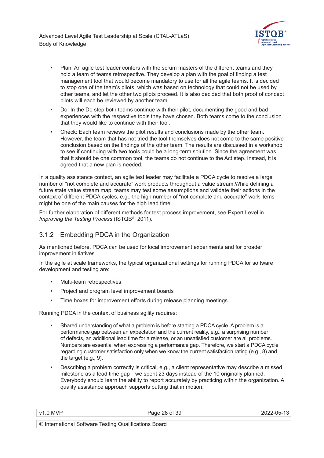

- Plan: An agile test leader confers with the scrum masters of the different teams and they hold a team of teams retrospective. They develop a plan with the goal of finding a test management tool that would become mandatory to use for all the agile teams. It is decided to stop one of the team's pilots, which was based on technology that could not be used by other teams, and let the other two pilots proceed. It is also decided that both proof of concept pilots will each be reviewed by another team.
- Do: In the Do step both teams continue with their pilot, documenting the good and bad experiences with the respective tools they have chosen. Both teams come to the conclusion that they would like to continue with their tool.
- Check: Each team reviews the pilot results and conclusions made by the other team. However, the team that has not tried the tool themselves does not come to the same positive conclusion based on the findings of the other team. The results are discussed in a workshop to see if continuing with two tools could be a long-term solution. Since the agreement was that it should be one common tool, the teams do not continue to the Act step. Instead, it is agreed that a new plan is needed.

In a quality assistance context, an agile test leader may facilitate a PDCA cycle to resolve a large number of "not complete and accurate" work products throughout a value stream.While defining a future state value stream map, teams may test some assumptions and validate their actions in the context of different PDCA cycles, e.g., the high number of "not complete and accurate" work items might be one of the main causes for the high lead time.

For further elaboration of different methods for test process improvement, see Expert Level in *Improving the Testing Process* (ISTQB®, 2011).

#### 3.1.2 Embedding PDCA in the Organization

As mentioned before, PDCA can be used for local improvement experiments and for broader improvement initiatives.

In the agile at scale frameworks, the typical organizational settings for running PDCA for software development and testing are:

- Multi-team retrospectives
- Project and program level improvement boards
- Time boxes for improvement efforts during release planning meetings

Running PDCA in the context of business agility requires:

- Shared understanding of what a problem is before starting a PDCA cycle. A problem is a performance gap between an expectation and the current reality, e.g., a surprising number of defects, an additional lead time for a release, or an unsatisfied customer are all problems. Numbers are essential when expressing a performance gap. Therefore, we start a PDCA cycle regarding customer satisfaction only when we know the current satisfaction rating (e.g., 8) and the target (e.g., 9).
- Describing a problem correctly is critical, e.g., a client representative may describe a missed milestone as a lead time gap—we spent 23 days instead of the 10 originally planned. Everybody should learn the ability to report accurately by practicing within the organization. A quality assistance approach supports putting that in motion.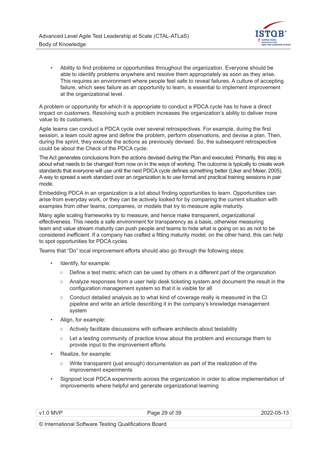

• Ability to find problems or opportunities throughout the organization. Everyone should be able to identify problems anywhere and resolve them appropriately as soon as they arise. This requires an environment where people feel safe to reveal failures. A culture of accepting failure, which sees failure as an opportunity to learn, is essential to implement improvement at the organizational level.

A problem or opportunity for which it is appropriate to conduct a PDCA cycle has to have a direct impact on customers. Resolving such a problem increases the organization's ability to deliver more value to its customers.

Agile teams can conduct a PDCA cycle over several retrospectives. For example, during the first session, a team could agree and define the problem, perform observations, and devise a plan. Then, during the sprint, they execute the actions as previously devised. So, the subsequent retrospective could be about the Check of the PDCA cycle.

The Act generates conclusions from the actions devised during the Plan and executed. Primarily, this step is about what needs to be changed from now on in the ways of working. The outcome is typically to create work standards that everyone will use until the next PDCA cycle defines something better (Liker and Meier, 2005). A way to spread a work standard over an organization is to use formal and practical training sessions in pair mode.

Embedding PDCA in an organization is a lot about finding opportunities to learn. Opportunities can arise from everyday work, or they can be actively looked for by comparing the current situation with examples from other teams, companies, or models that try to measure agile maturity.

Many agile scaling frameworks try to measure, and hence make transparent, organizational effectiveness. This needs a safe environment for transparency as a basis, otherwise measuring team and value stream maturity can push people and teams to hide what is going on so as not to be considered inefficient. If a company has crafted a fitting maturity model, on the other hand, this can help to spot opportunities for PDCA cycles.

Teams that "Do" local improvement efforts should also go through the following steps:

- Identify, for example:
	- Define a test metric which can be used by others in a different part of the organization
	- Analyze responses from a user help desk ticketing system and document the result in the configuration management system so that it is visible for all
	- $\circ$  Conduct detailed analysis as to what kind of coverage really is measured in the CI pipeline and write an article describing it in the company's knowledge management system
- Align, for example:
	- Actively facilitate discussions with software architects about testability
	- Let a testing community of practice know about the problem and encourage them to provide input to the improvement efforts
- Realize, for example:
	- Write transparent (just enough) documentation as part of the realization of the improvement experiments
- Signpost local PDCA experiments across the organization in order to allow implementation of improvements where helpful and generate organizational learning

Page 29 of 39 2022-05-13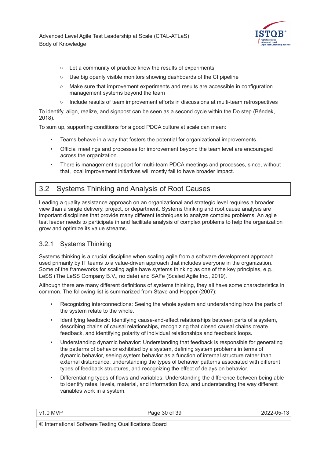

- Let a community of practice know the results of experiments
- Use big openly visible monitors showing dashboards of the CI pipeline
- Make sure that improvement experiments and results are accessible in configuration management systems beyond the team
- Include results of team improvement efforts in discussions at multi-team retrospectives

To identify, align, realize, and signpost can be seen as a second cycle within the Do step (Béndek, 2018).

To sum up, supporting conditions for a good PDCA culture at scale can mean:

- Teams behave in a way that fosters the potential for organizational improvements.
- Official meetings and processes for improvement beyond the team level are encouraged across the organization.
- There is management support for multi-team PDCA meetings and processes, since, without that, local improvement initiatives will mostly fail to have broader impact.

### 3.2 Systems Thinking and Analysis of Root Causes

Leading a quality assistance approach on an organizational and strategic level requires a broader view than a single delivery, project, or department. Systems thinking and root cause analysis are important disciplines that provide many different techniques to analyze complex problems. An agile test leader needs to participate in and facilitate analysis of complex problems to help the organization grow and optimize its value streams.

#### 3.2.1 Systems Thinking

Systems thinking is a crucial discipline when scaling agile from a software development approach used primarily by IT teams to a value-driven approach that includes everyone in the organization. Some of the frameworks for scaling agile have systems thinking as one of the key principles, e.g., LeSS (The LeSS Company B.V., no date) and SAFe (Scaled Agile Inc., 2019).

Although there are many different definitions of systems thinking, they all have some characteristics in common. The following list is summarized from Stave and Hopper (2007):

- Recognizing interconnections: Seeing the whole system and understanding how the parts of the system relate to the whole.
- Identifying feedback: Identifying cause-and-effect relationships between parts of a system, describing chains of causal relationships, recognizing that closed causal chains create feedback, and identifying polarity of individual relationships and feedback loops.
- Understanding dynamic behavior: Understanding that feedback is responsible for generating the patterns of behavior exhibited by a system, defining system problems in terms of dynamic behavior, seeing system behavior as a function of internal structure rather than external disturbance, understanding the types of behavior patterns associated with different types of feedback structures, and recognizing the effect of delays on behavior.
- Differentiating types of flows and variables: Understanding the difference between being able to identify rates, levels, material, and information flow, and understanding the way different variables work in a system.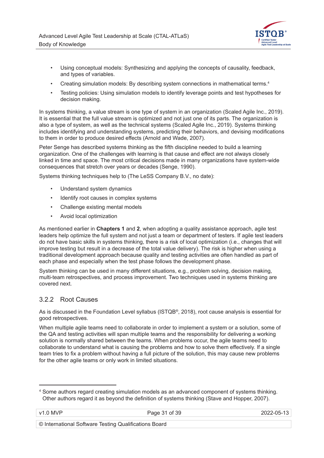

- Using conceptual models: Synthesizing and applying the concepts of causality, feedback, and types of variables.
- Creating simulation models: By describing system connections in mathematical terms.<sup>4</sup>
- Testing policies: Using simulation models to identify leverage points and test hypotheses for decision making.

In systems thinking, a value stream is one type of system in an organization (Scaled Agile Inc., 2019). It is essential that the full value stream is optimized and not just one of its parts. The organization is also a type of system, as well as the technical systems (Scaled Agile Inc., 2019). Systems thinking includes identifying and understanding systems, predicting their behaviors, and devising modifications to them in order to produce desired effects (Arnold and Wade, 2007).

Peter Senge has described systems thinking as the fifth discipline needed to build a learning organization. One of the challenges with learning is that cause and effect are not always closely linked in time and space. The most critical decisions made in many organizations have system-wide consequences that stretch over years or decades (Senge, 1990).

Systems thinking techniques help to (The LeSS Company B.V., no date):

- Understand system dynamics
- Identify root causes in complex systems
- Challenge existing mental models
- Avoid local optimization

As mentioned earlier in **Chapters 1** and **2**, when adopting a quality assistance approach, agile test leaders help optimize the full system and not just a team or department of testers. If agile test leaders do not have basic skills in systems thinking, there is a risk of local optimization (i.e., changes that will improve testing but result in a decrease of the total value delivery). The risk is higher when using a traditional development approach because quality and testing activities are often handled as part of each phase and especially when the test phase follows the development phase.

System thinking can be used in many different situations, e.g., problem solving, decision making, multi-team retrospectives, and process improvement. Two techniques used in systems thinking are covered next.

#### 3.2.2 Root Causes

As is discussed in the Foundation Level syllabus (ISTQB®, 2018), root cause analysis is essential for good retrospectives.

When multiple agile teams need to collaborate in order to implement a system or a solution, some of the QA and testing activities will span multiple teams and the responsibility for delivering a working solution is normally shared between the teams. When problems occur, the agile teams need to collaborate to understand what is causing the problems and how to solve them effectively. If a single team tries to fix a problem without having a full picture of the solution, this may cause new problems for the other agile teams or only work in limited situations.

<sup>4</sup> Some authors regard creating simulation models as an advanced component of systems thinking. Other authors regard it as beyond the definition of systems thinking (Stave and Hopper, 2007).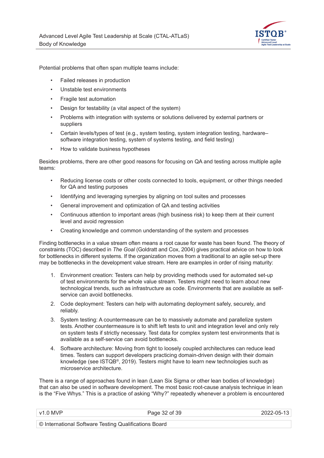

Potential problems that often span multiple teams include:

- Failed releases in production
- Unstable test environments
- Fragile test automation
- Design for testability (a vital aspect of the system)
- Problems with integration with systems or solutions delivered by external partners or suppliers
- Certain levels/types of test (e.g., system testing, system integration testing, hardware– software integration testing, system of systems testing, and field testing)
- How to validate business hypotheses

Besides problems, there are other good reasons for focusing on QA and testing across multiple agile teams:

- Reducing license costs or other costs connected to tools, equipment, or other things needed for QA and testing purposes
- Identifying and leveraging synergies by aligning on tool suites and processes
- General improvement and optimization of QA and testing activities
- Continuous attention to important areas (high business risk) to keep them at their current level and avoid regression
- Creating knowledge and common understanding of the system and processes

Finding bottlenecks in a value stream often means a root cause for waste has been found. The theory of constraints (TOC) described in *The Goal* (Goldratt and Cox, 2004) gives practical advice on how to look for bottlenecks in different systems. If the organization moves from a traditional to an agile set-up there may be bottlenecks in the development value stream. Here are examples in order of rising maturity:

- 1. Environment creation: Testers can help by providing methods used for automated set-up of test environments for the whole value stream. Testers might need to learn about new technological trends, such as infrastructure as code. Environments that are available as selfservice can avoid bottlenecks.
- 2. Code deployment: Testers can help with automating deployment safely, securely, and reliably.
- 3. System testing: A countermeasure can be to massively automate and parallelize system tests. Another countermeasure is to shift left tests to unit and integration level and only rely on system tests if strictly necessary. Test data for complex system test environments that is available as a self-service can avoid bottlenecks.
- 4. Software architecture: Moving from tight to loosely coupled architectures can reduce lead times. Testers can support developers practicing domain-driven design with their domain knowledge (see ISTQB®, 2019). Testers might have to learn new technologies such as microservice architecture.

There is a range of approaches found in lean (Lean Six Sigma or other lean bodies of knowledge) that can also be used in software development. The most basic root-cause analysis technique in lean is the "Five Whys." This is a practice of asking "Why?" repeatedly whenever a problem is encountered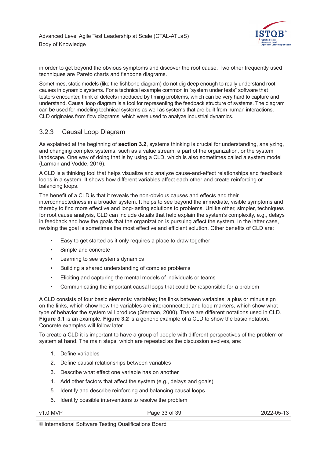

in order to get beyond the obvious symptoms and discover the root cause. Two other frequently used techniques are Pareto charts and fishbone diagrams.

Sometimes, static models (like the fishbone diagram) do not dig deep enough to really understand root causes in dynamic systems. For a technical example common in "system under tests" software that testers encounter, think of defects introduced by timing problems, which can be very hard to capture and understand. Causal loop diagram is a tool for representing the feedback structure of systems. The diagram can be used for modeling technical systems as well as systems that are built from human interactions. CLD originates from flow diagrams, which were used to analyze industrial dynamics.

#### 3.2.3 Causal Loop Diagram

As explained at the beginning of **section 3.2**, systems thinking is crucial for understanding, analyzing, and changing complex systems, such as a value stream, a part of the organization, or the system landscape. One way of doing that is by using a CLD, which is also sometimes called a system model (Larman and Vodde, 2016).

A CLD is a thinking tool that helps visualize and analyze cause-and-effect relationships and feedback loops in a system. It shows how different variables affect each other and create reinforcing or balancing loops.

The benefit of a CLD is that it reveals the non-obvious causes and effects and their interconnectedness in a broader system. It helps to see beyond the immediate, visible symptoms and thereby to find more effective and long-lasting solutions to problems. Unlike other, simpler, techniques for root cause analysis, CLD can include details that help explain the system's complexity, e.g., delays in feedback and how the goals that the organization is pursuing affect the system. In the latter case, revising the goal is sometimes the most effective and efficient solution. Other benefits of CLD are:

- Easy to get started as it only requires a place to draw together
- Simple and concrete
- Learning to see systems dynamics
- Building a shared understanding of complex problems
- Eliciting and capturing the mental models of individuals or teams
- Communicating the important causal loops that could be responsible for a problem

A CLD consists of four basic elements: variables; the links between variables; a plus or minus sign on the links, which show how the variables are interconnected; and loop markers, which show what type of behavior the system will produce (Sterman, 2000). There are different notations used in CLD. **Figure 3.1** is an example. **Figure 3.2** is a generic example of a CLD to show the basic notation. Concrete examples will follow later.

To create a CLD it is important to have a group of people with different perspectives of the problem or system at hand. The main steps, which are repeated as the discussion evolves, are:

- 1. Define variables
- 2. Define causal relationships between variables
- 3. Describe what effect one variable has on another
- 4. Add other factors that affect the system (e.g., delays and goals)
- 5. Identify and describe reinforcing and balancing causal loops
- 6. Identify possible interventions to resolve the problem

v1.0 MVP 2022-05-13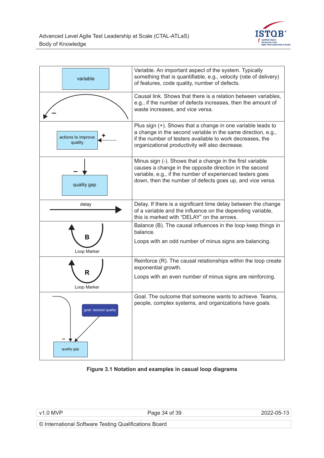

| variable                             | Variable. An important aspect of the system. Typically<br>something that is quantifiable, e.g., velocity (rate of delivery)<br>of features, code quality, number of defects.                                                                   |
|--------------------------------------|------------------------------------------------------------------------------------------------------------------------------------------------------------------------------------------------------------------------------------------------|
|                                      | Causal link. Shows that there is a relation between variables,<br>e.g., if the number of defects increases, then the amount of<br>waste increases, and vice versa.                                                                             |
| actions to improve<br>quality        | Plus sign (+). Shows that a change in one variable leads to<br>a change in the second variable in the same direction, e.g.,<br>if the number of testers available to work decreases, the<br>organizational productivity will also decrease.    |
| quality gap                          | Minus sign (-). Shows that a change in the first variable<br>causes a change in the opposite direction in the second<br>variable, e.g., if the number of experienced testers goes<br>down, then the number of defects goes up, and vice versa. |
| delay                                | Delay. If there is a significant time delay between the change<br>of a variable and the influence on the depending variable,<br>this is marked with "DELAY" on the arrows.                                                                     |
| B<br>Loop Marker                     | Balance (B). The causal influences in the loop keep things in<br>balance.<br>Loops with an odd number of minus signs are balancing.                                                                                                            |
| R                                    | Reinforce (R). The causal relationships within the loop create<br>exponential growth.                                                                                                                                                          |
| Loop Marker                          | Loops with an even number of minus signs are reinforcing.                                                                                                                                                                                      |
| goal: desired quality<br>quality gap | Goal. The outcome that someone wants to achieve. Teams,<br>people, complex systems, and organizations have goals.                                                                                                                              |

#### **Figure 3.1 Notation and examples in casual loop diagrams**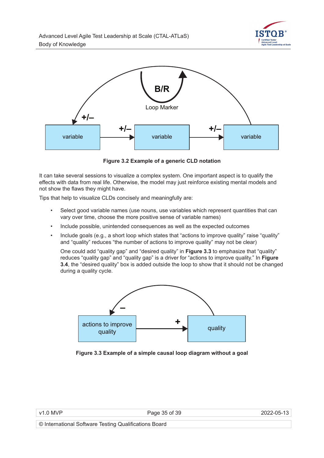



**Figure 3.2 Example of a generic CLD notation**

It can take several sessions to visualize a complex system. One important aspect is to qualify the effects with data from real life. Otherwise, the model may just reinforce existing mental models and not show the flaws they might have.

Tips that help to visualize CLDs concisely and meaningfully are:

- Select good variable names (use nouns, use variables which represent quantities that can vary over time, choose the more positive sense of variable names)
- Include possible, unintended consequences as well as the expected outcomes
- Include goals (e.g., a short loop which states that "actions to improve quality" raise "quality" and "quality" reduces "the number of actions to improve quality" may not be clear)

One could add "quality gap" and "desired quality" in **Figure 3.3** to emphasize that "quality" reduces "quality gap" and "quality gap" is a driver for "actions to improve quality." In **Figure 3.4**, the "desired quality" box is added outside the loop to show that it should not be changed during a quality cycle.



**Figure 3.3 Example of a simple causal loop diagram without a goal**

|  | $v1.0$ MVP |  |
|--|------------|--|
|  |            |  |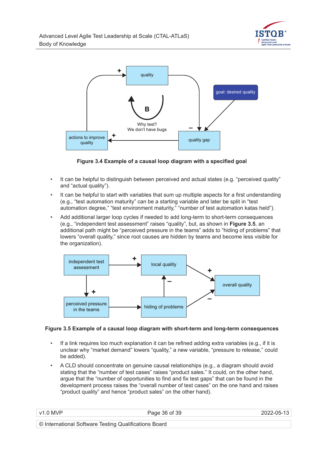



**Figure 3.4 Example of a causal loop diagram with a specified goal**

- It can be helpful to distinguish between perceived and actual states (e.g. "perceived quality" and "actual quality").
- It can be helpful to start with variables that sum up multiple aspects for a first understanding (e.g., "test automation maturity" can be a starting variable and later be split in "test automation degree," "test environment maturity," "number of test automation katas held").
- Add additional larger loop cycles if needed to add long-term to short-term consequences (e.g., "independent test assessment" raises "quality", but, as shown in **Figure 3.5**, an additional path might be "perceived pressure in the teams" adds to "hiding of problems" that lowers "overall quality," since root causes are hidden by teams and become less visible for the organization).



#### **Figure 3.5 Example of a causal loop diagram with short-term and long-term consequences**

- If a link requires too much explanation it can be refined adding extra variables (e.g., if it is unclear why "market demand" lowers "quality," a new variable, "pressure to release," could be added).
- A CLD should concentrate on genuine causal relationships (e.g., a diagram should avoid stating that the "number of test cases" raises "product sales." It could, on the other hand, argue that the "number of opportunities to find and fix test gaps" that can be found in the development process raises the "overall number of test cases" on the one hand and raises "product quality" and hence "product sales" on the other hand).

| V <sub>1</sub> | f 39<br>- -<br>__ | $\overline{\phantom{0}}$<br>ገፎ<br>$ -$ |
|----------------|-------------------|----------------------------------------|
|                |                   |                                        |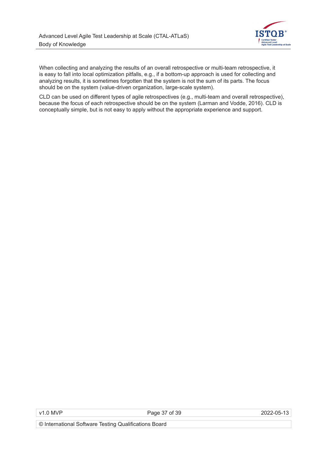

When collecting and analyzing the results of an overall retrospective or multi-team retrospective, it is easy to fall into local optimization pitfalls, e.g., if a bottom-up approach is used for collecting and analyzing results, it is sometimes forgotten that the system is not the sum of its parts. The focus should be on the system (value-driven organization, large-scale system).

CLD can be used on different types of agile retrospectives (e.g., multi-team and overall retrospective), because the focus of each retrospective should be on the system (Larman and Vodde, 2016). CLD is conceptually simple, but is not easy to apply without the appropriate experience and support.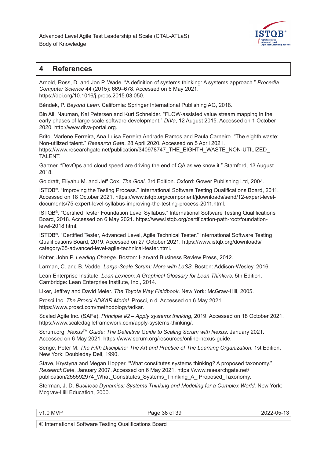

#### **4 References**

Arnold, Ross, D. and Jon P. Wade. "A definition of systems thinking: A systems approach." *Procedia Computer Science* 44 (2015): 669–678. Accessed on 6 May 2021. https://doi.org/10.1016/j.procs.2015.03.050.

Béndek, P. *Beyond Lean.* California: Springer International Publishing AG, 2018.

Bin Ali, Nauman, Kai Petersen and Kurt Schneider. "FLOW-assisted value stream mapping in the early phases of large-scale software development." *DiVa*, 12 August 2015*.* Accessed on 1 October 2020. http://www.diva-portal.org.

Brito, Marlene Ferreira, Ana Luísa Ferreira Andrade Ramos and Paula Carneiro. "The eighth waste: Non-utilized talent." *Research Gate*, 28 April 2020*.* Accessed on 5 April 2021. https://www.researchgate.net/publication/340978747\_THE\_EIGHTH\_WASTE\_NON-UTILIZED TALENT.

Gartner. "DevOps and cloud speed are driving the end of QA as we know it." Stamford, 13 August 2018.

Goldratt, Eliyahu M. and Jeff Cox. *The Goal*. 3rd Edition. Oxford: Gower Publishing Ltd, 2004.

ISTQB®. "Improving the Testing Process." International Software Testing Qualifications Board, 2011. Accessed on 18 October 2021. https://www.istqb.org/component/jdownloads/send/12-expert-leveldocuments/75-expert-level-syllabus-improving-the-testing-process-2011.html.

ISTQB®. "Certified Tester Foundation Level Syllabus.ˮ International Software Testing Qualifications Board, 2018. Accessed on 6 May 2021. https://www.istqb.org/certification-path-root/foundationlevel-2018.html.

ISTQB®. "Certified Tester, Advanced Level, Agile Technical Tester." International Software Testing Qualifications Board, 2019. Accessed on 27 October 2021. https://www.istqb.org/downloads/ category/65-advanced-level-agile-technical-tester.html.

Kotter, John P. *Leading Change*. Boston: Harvard Business Review Press, 2012.

Larman, C. and B. Vodde. *Large-Scale Scrum: More with LeSS.* Boston: Addison-Wesley, 2016.

Lean Enterprise Institute. *Lean Lexicon: A Graphical Glossary for Lean Thinkers*. 5th Edition. Cambridge: Lean Enterprise Institute, Inc., 2014.

Liker, Jeffrey and David Meier. *The Toyota Way Fieldbook*. New York: McGraw-Hill, 2005.

Prosci Inc. *The Prosci ADKAR Model*. Prosci, n.d. Accessed on 6 May 2021. https://www.prosci.com/methodology/adkar.

Scaled Agile Inc. (SAFe). *Principle #2 – Apply systems thinking*, 2019. Accessed on 18 October 2021. https://www.scaledagileframework.com/apply-systems-thinking/.

Scrum.org. *Nexus*TM *Guide: The Definitive Guide to Scaling Scrum with Nexus*. January 2021. Accessed on 6 May 2021. https://www.scrum.org/resources/online-nexus-guide.

Senge, Peter M. *The Fifth Discipline: The Art and Practice of The Learning Organization*. 1st Edition. New York: Doubleday Dell, 1990.

Stave, Krystyna and Megan Hopper. "What constitutes systems thinking? A proposed taxonomy." *ResearchGate*, January 2007. Accessed on 6 May 2021. https://www.researchgate.net/ publication/255592974\_What\_Constitutes\_Systems\_Thinking\_A\_ Proposed\_Taxonomy.

Sterman, J. D. *Business Dynamics: Systems Thinking and Modeling for a Complex World.* New York: Mcgraw-Hill Education, 2000.

Page 38 of 39 2022-05-13